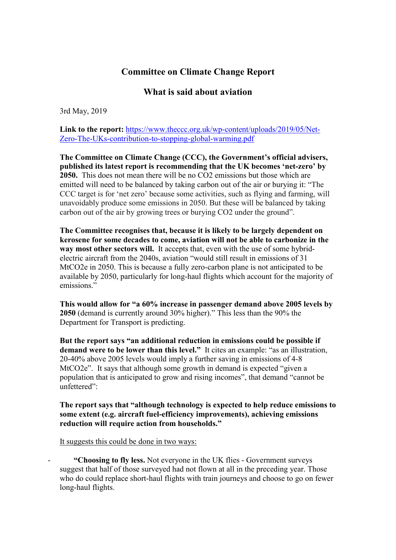## **Committee on Climate Change Report**

## **What is said about aviation**

3rd May, 2019

**Link to the report:** https://www.theccc.org.uk/wp-content/uploads/2019/05/Net-Zero-The-UKs-contribution-to-stopping-global-warming.pdf

**The Committee on Climate Change (CCC), the Government's official advisers, published its latest report is recommending that the UK becomes 'net-zero' by 2050.** This does not mean there will be no CO2 emissions but those which are emitted will need to be balanced by taking carbon out of the air or burying it: "The CCC target is for 'net zero' because some activities, such as flying and farming, will unavoidably produce some emissions in 2050. But these will be balanced by taking carbon out of the air by growing trees or burying CO2 under the ground".

**The Committee recognises that, because it is likely to be largely dependent on kerosene for some decades to come, aviation will not be able to carbonize in the way most other sectors will.** It accepts that, even with the use of some hybridelectric aircraft from the 2040s, aviation "would still result in emissions of 31 MtCO2e in 2050. This is because a fully zero-carbon plane is not anticipated to be available by 2050, particularly for long-haul flights which account for the majority of emissions."

**This would allow for "a 60% increase in passenger demand above 2005 levels by 2050** (demand is currently around 30% higher)." This less than the 90% the Department for Transport is predicting.

**But the report says "an additional reduction in emissions could be possible if demand were to be lower than this level."** It cites an example: "as an illustration, 20-40% above 2005 levels would imply a further saving in emissions of 4-8 MtCO2e". It says that although some growth in demand is expected "given a population that is anticipated to grow and rising incomes", that demand "cannot be unfettered":

**The report says that "although technology is expected to help reduce emissions to some extent (e.g. aircraft fuel-efficiency improvements), achieving emissions reduction will require action from households."** 

It suggests this could be done in two ways:

**"Choosing to fly less.** Not everyone in the UK flies - Government surveys suggest that half of those surveyed had not flown at all in the preceding year. Those who do could replace short-haul flights with train journeys and choose to go on fewer long-haul flights.